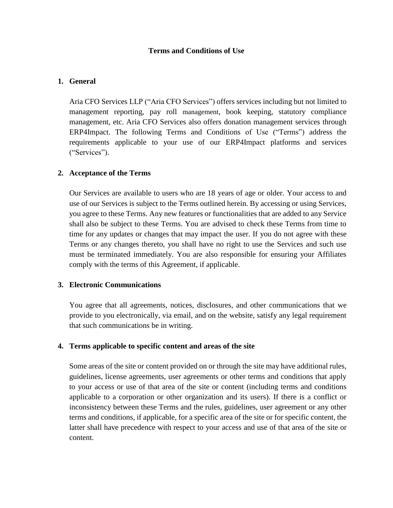## **Terms and Conditions of Use**

## **1. General**

Aria CFO Services LLP ("Aria CFO Services") offers services including but not limited to management reporting, pay roll management, book keeping, statutory compliance management, etc. Aria CFO Services also offers donation management services through ERP4Impact. The following Terms and Conditions of Use ("Terms") address the requirements applicable to your use of our ERP4Impact platforms and services ("Services").

## **2. Acceptance of the Terms**

Our Services are available to users who are 18 years of age or older. Your access to and use of our Services is subject to the Terms outlined herein. By accessing or using Services, you agree to these Terms. Any new features or functionalities that are added to any Service shall also be subject to these Terms. You are advised to check these Terms from time to time for any updates or changes that may impact the user. If you do not agree with these Terms or any changes thereto, you shall have no right to use the Services and such use must be terminated immediately. You are also responsible for ensuring your Affiliates comply with the terms of this Agreement, if applicable.

## **3. Electronic Communications**

You agree that all agreements, notices, disclosures, and other communications that we provide to you electronically, via email, and on the website, satisfy any legal requirement that such communications be in writing.

## **4. Terms applicable to specific content and areas of the site**

Some areas of the site or content provided on or through the site may have additional rules, guidelines, license agreements, user agreements or other terms and conditions that apply to your access or use of that area of the site or content (including terms and conditions applicable to a corporation or other organization and its users). If there is a conflict or inconsistency between these Terms and the rules, guidelines, user agreement or any other terms and conditions, if applicable, for a specific area of the site or for specific content, the latter shall have precedence with respect to your access and use of that area of the site or content.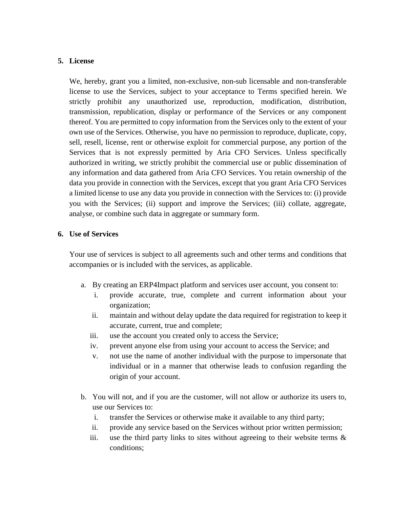## **5. License**

We, hereby, grant you a limited, non-exclusive, non-sub licensable and non-transferable license to use the Services, subject to your acceptance to Terms specified herein. We strictly prohibit any unauthorized use, reproduction, modification, distribution, transmission, republication, display or performance of the Services or any component thereof. You are permitted to copy information from the Services only to the extent of your own use of the Services. Otherwise, you have no permission to reproduce, duplicate, copy, sell, resell, license, rent or otherwise exploit for commercial purpose, any portion of the Services that is not expressly permitted by Aria CFO Services. Unless specifically authorized in writing, we strictly prohibit the commercial use or public dissemination of any information and data gathered from Aria CFO Services. You retain ownership of the data you provide in connection with the Services, except that you grant Aria CFO Services a limited license to use any data you provide in connection with the Services to: (i) provide you with the Services; (ii) support and improve the Services; (iii) collate, aggregate, analyse, or combine such data in aggregate or summary form.

## **6. Use of Services**

Your use of services is subject to all agreements such and other terms and conditions that accompanies or is included with the services, as applicable.

- a. By creating an ERP4Impact platform and services user account, you consent to:
	- i. provide accurate, true, complete and current information about your organization;
	- ii. maintain and without delay update the data required for registration to keep it accurate, current, true and complete;
	- iii. use the account you created only to access the Service;
	- iv. prevent anyone else from using your account to access the Service; and
	- v. not use the name of another individual with the purpose to impersonate that individual or in a manner that otherwise leads to confusion regarding the origin of your account.
- b. You will not, and if you are the customer, will not allow or authorize its users to, use our Services to:
	- i. transfer the Services or otherwise make it available to any third party;
	- ii. provide any service based on the Services without prior written permission;
	- iii. use the third party links to sites without agreeing to their website terms  $\&$ conditions;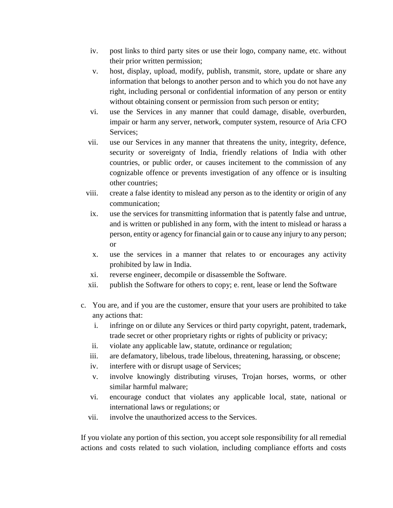- iv. post links to third party sites or use their logo, company name, etc. without their prior written permission;
- v. host, display, upload, modify, publish, transmit, store, update or share any information that belongs to another person and to which you do not have any right, including personal or confidential information of any person or entity without obtaining consent or permission from such person or entity;
- vi. use the Services in any manner that could damage, disable, overburden, impair or harm any server, network, computer system, resource of Aria CFO Services;
- vii. use our Services in any manner that threatens the unity, integrity, defence, security or sovereignty of India, friendly relations of India with other countries, or public order, or causes incitement to the commission of any cognizable offence or prevents investigation of any offence or is insulting other countries;
- viii. create a false identity to mislead any person as to the identity or origin of any communication;
- ix. use the services for transmitting information that is patently false and untrue, and is written or published in any form, with the intent to mislead or harass a person, entity or agency for financial gain or to cause any injury to any person; or
- x. use the services in a manner that relates to or encourages any activity prohibited by law in India.
- xi. reverse engineer, decompile or disassemble the Software.
- xii. publish the Software for others to copy; e. rent, lease or lend the Software
- c. You are, and if you are the customer, ensure that your users are prohibited to take any actions that:
	- i. infringe on or dilute any Services or third party copyright, patent, trademark, trade secret or other proprietary rights or rights of publicity or privacy;
	- ii. violate any applicable law, statute, ordinance or regulation;
	- iii. are defamatory, libelous, trade libelous, threatening, harassing, or obscene;
	- iv. interfere with or disrupt usage of Services;
	- v. involve knowingly distributing viruses, Trojan horses, worms, or other similar harmful malware;
	- vi. encourage conduct that violates any applicable local, state, national or international laws or regulations; or
	- vii. involve the unauthorized access to the Services.

If you violate any portion of this section, you accept sole responsibility for all remedial actions and costs related to such violation, including compliance efforts and costs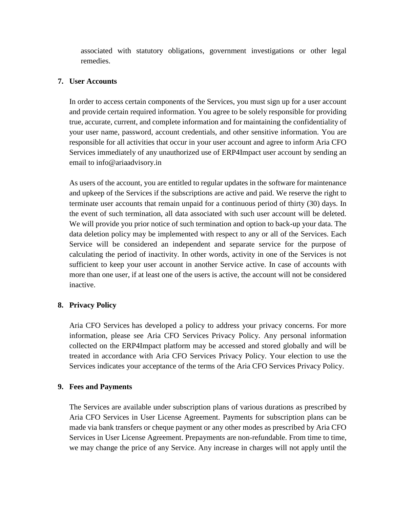associated with statutory obligations, government investigations or other legal remedies.

## **7. User Accounts**

In order to access certain components of the Services, you must sign up for a user account and provide certain required information. You agree to be solely responsible for providing true, accurate, current, and complete information and for maintaining the confidentiality of your user name, password, account credentials, and other sensitive information. You are responsible for all activities that occur in your user account and agree to inform Aria CFO Services immediately of any unauthorized use of ERP4Impact user account by sending an email to info@ariaadvisory.in

As users of the account, you are entitled to regular updates in the software for maintenance and upkeep of the Services if the subscriptions are active and paid. We reserve the right to terminate user accounts that remain unpaid for a continuous period of thirty (30) days. In the event of such termination, all data associated with such user account will be deleted. We will provide you prior notice of such termination and option to back-up your data. The data deletion policy may be implemented with respect to any or all of the Services. Each Service will be considered an independent and separate service for the purpose of calculating the period of inactivity. In other words, activity in one of the Services is not sufficient to keep your user account in another Service active. In case of accounts with more than one user, if at least one of the users is active, the account will not be considered inactive.

# **8. Privacy Policy**

Aria CFO Services has developed a policy to address your privacy concerns. For more information, please see Aria CFO Services Privacy Policy. Any personal information collected on the ERP4Impact platform may be accessed and stored globally and will be treated in accordance with Aria CFO Services Privacy Policy. Your election to use the Services indicates your acceptance of the terms of the Aria CFO Services Privacy Policy.

# **9. Fees and Payments**

The Services are available under subscription plans of various durations as prescribed by Aria CFO Services in User License Agreement. Payments for subscription plans can be made via bank transfers or cheque payment or any other modes as prescribed by Aria CFO Services in User License Agreement. Prepayments are non-refundable. From time to time, we may change the price of any Service. Any increase in charges will not apply until the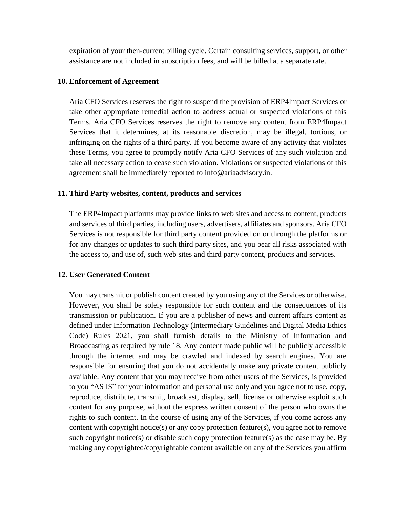expiration of your then-current billing cycle. Certain consulting services, support, or other assistance are not included in subscription fees, and will be billed at a separate rate.

#### **10. Enforcement of Agreement**

Aria CFO Services reserves the right to suspend the provision of ERP4Impact Services or take other appropriate remedial action to address actual or suspected violations of this Terms. Aria CFO Services reserves the right to remove any content from ERP4Impact Services that it determines, at its reasonable discretion, may be illegal, tortious, or infringing on the rights of a third party. If you become aware of any activity that violates these Terms, you agree to promptly notify Aria CFO Services of any such violation and take all necessary action to cease such violation. Violations or suspected violations of this agreement shall be immediately reported to info@ariaadvisory.in.

#### **11. Third Party websites, content, products and services**

The ERP4Impact platforms may provide links to web sites and access to content, products and services of third parties, including users, advertisers, affiliates and sponsors. Aria CFO Services is not responsible for third party content provided on or through the platforms or for any changes or updates to such third party sites, and you bear all risks associated with the access to, and use of, such web sites and third party content, products and services.

## **12. User Generated Content**

You may transmit or publish content created by you using any of the Services or otherwise. However, you shall be solely responsible for such content and the consequences of its transmission or publication. If you are a publisher of news and current affairs content as defined under Information Technology (Intermediary Guidelines and Digital Media Ethics Code) Rules 2021, you shall furnish details to the Ministry of Information and Broadcasting as required by rule 18. Any content made public will be publicly accessible through the internet and may be crawled and indexed by search engines. You are responsible for ensuring that you do not accidentally make any private content publicly available. Any content that you may receive from other users of the Services, is provided to you "AS IS" for your information and personal use only and you agree not to use, copy, reproduce, distribute, transmit, broadcast, display, sell, license or otherwise exploit such content for any purpose, without the express written consent of the person who owns the rights to such content. In the course of using any of the Services, if you come across any content with copyright notice(s) or any copy protection feature(s), you agree not to remove such copyright notice(s) or disable such copy protection feature(s) as the case may be. By making any copyrighted/copyrightable content available on any of the Services you affirm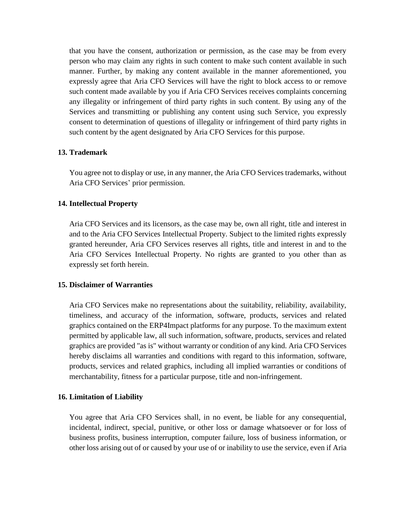that you have the consent, authorization or permission, as the case may be from every person who may claim any rights in such content to make such content available in such manner. Further, by making any content available in the manner aforementioned, you expressly agree that Aria CFO Services will have the right to block access to or remove such content made available by you if Aria CFO Services receives complaints concerning any illegality or infringement of third party rights in such content. By using any of the Services and transmitting or publishing any content using such Service, you expressly consent to determination of questions of illegality or infringement of third party rights in such content by the agent designated by Aria CFO Services for this purpose.

## **13. Trademark**

You agree not to display or use, in any manner, the Aria CFO Services trademarks, without Aria CFO Services' prior permission.

#### **14. Intellectual Property**

Aria CFO Services and its licensors, as the case may be, own all right, title and interest in and to the Aria CFO Services Intellectual Property. Subject to the limited rights expressly granted hereunder, Aria CFO Services reserves all rights, title and interest in and to the Aria CFO Services Intellectual Property. No rights are granted to you other than as expressly set forth herein.

#### **15. Disclaimer of Warranties**

Aria CFO Services make no representations about the suitability, reliability, availability, timeliness, and accuracy of the information, software, products, services and related graphics contained on the ERP4Impact platforms for any purpose. To the maximum extent permitted by applicable law, all such information, software, products, services and related graphics are provided "as is" without warranty or condition of any kind. Aria CFO Services hereby disclaims all warranties and conditions with regard to this information, software, products, services and related graphics, including all implied warranties or conditions of merchantability, fitness for a particular purpose, title and non-infringement.

#### **16. Limitation of Liability**

You agree that Aria CFO Services shall, in no event, be liable for any consequential, incidental, indirect, special, punitive, or other loss or damage whatsoever or for loss of business profits, business interruption, computer failure, loss of business information, or other loss arising out of or caused by your use of or inability to use the service, even if Aria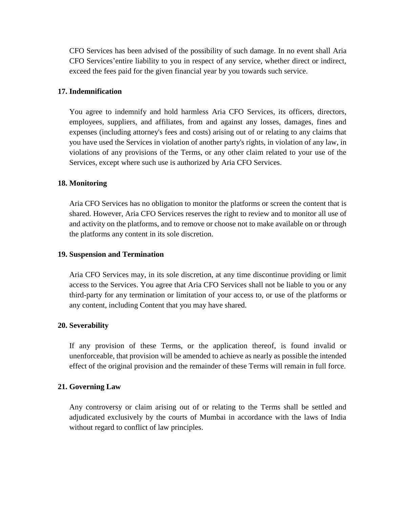CFO Services has been advised of the possibility of such damage. In no event shall Aria CFO Services'entire liability to you in respect of any service, whether direct or indirect, exceed the fees paid for the given financial year by you towards such service.

#### **17. Indemnification**

You agree to indemnify and hold harmless Aria CFO Services, its officers, directors, employees, suppliers, and affiliates, from and against any losses, damages, fines and expenses (including attorney's fees and costs) arising out of or relating to any claims that you have used the Services in violation of another party's rights, in violation of any law, in violations of any provisions of the Terms, or any other claim related to your use of the Services, except where such use is authorized by Aria CFO Services.

#### **18. Monitoring**

Aria CFO Services has no obligation to monitor the platforms or screen the content that is shared. However, Aria CFO Services reserves the right to review and to monitor all use of and activity on the platforms, and to remove or choose not to make available on or through the platforms any content in its sole discretion.

#### **19. Suspension and Termination**

Aria CFO Services may, in its sole discretion, at any time discontinue providing or limit access to the Services. You agree that Aria CFO Services shall not be liable to you or any third-party for any termination or limitation of your access to, or use of the platforms or any content, including Content that you may have shared.

#### **20. Severability**

If any provision of these Terms, or the application thereof, is found invalid or unenforceable, that provision will be amended to achieve as nearly as possible the intended effect of the original provision and the remainder of these Terms will remain in full force.

## **21. Governing Law**

Any controversy or claim arising out of or relating to the Terms shall be settled and adjudicated exclusively by the courts of Mumbai in accordance with the laws of India without regard to conflict of law principles.